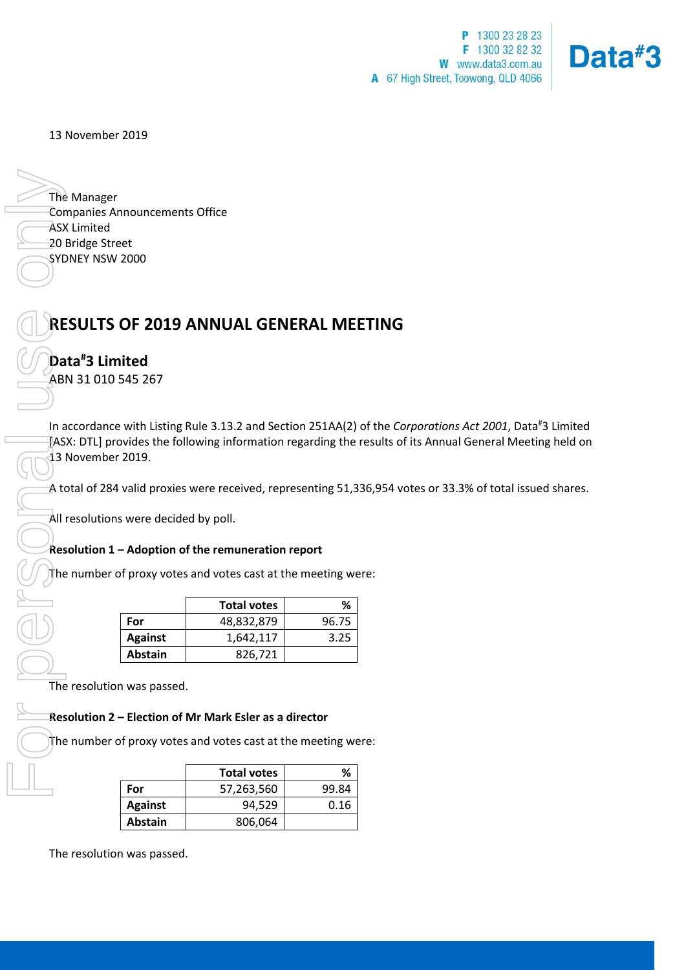

13 November 2019

The Manager Companies Announcements Office ASX Limited 20 Bridge Street SYDNEY NSW 2000

# **RESULTS OF 2019 ANNUAL GENERAL MEETING**

## **Data# 3 Limited**

ABN 31 010 545 267

In accordance with Listing Rule 3.13.2 and Section 251AA(2) of the *Corporations Act 2001*, Data<sup>#</sup>3 Limited [ASX: DTL] provides the following information regarding the results of its Annual General Meeting held on 13 November 2019.

A total of 284 valid proxies were received, representing 51,336,954 votes or 33.3% of total issued shares.

All resolutions were decided by poll.

### **Resolution 1 – Adoption of the remuneration report**

The number of proxy votes and votes cast at the meeting were:

|                | <b>Total votes</b> | ℅     |
|----------------|--------------------|-------|
| For            | 48,832,879         | 96.75 |
| <b>Against</b> | 1,642,117          | 3.25  |
| <b>Abstain</b> | 826.721            |       |

The resolution was passed.

### **Resolution 2 – Election of Mr Mark Esler as a director**

The number of proxy votes and votes cast at the meeting were:

|                | <b>Total votes</b> | ℅     |
|----------------|--------------------|-------|
| For            | 57,263,560         | 99.84 |
| <b>Against</b> | 94.529             | 0.16  |
| Abstain        | 806,064            |       |